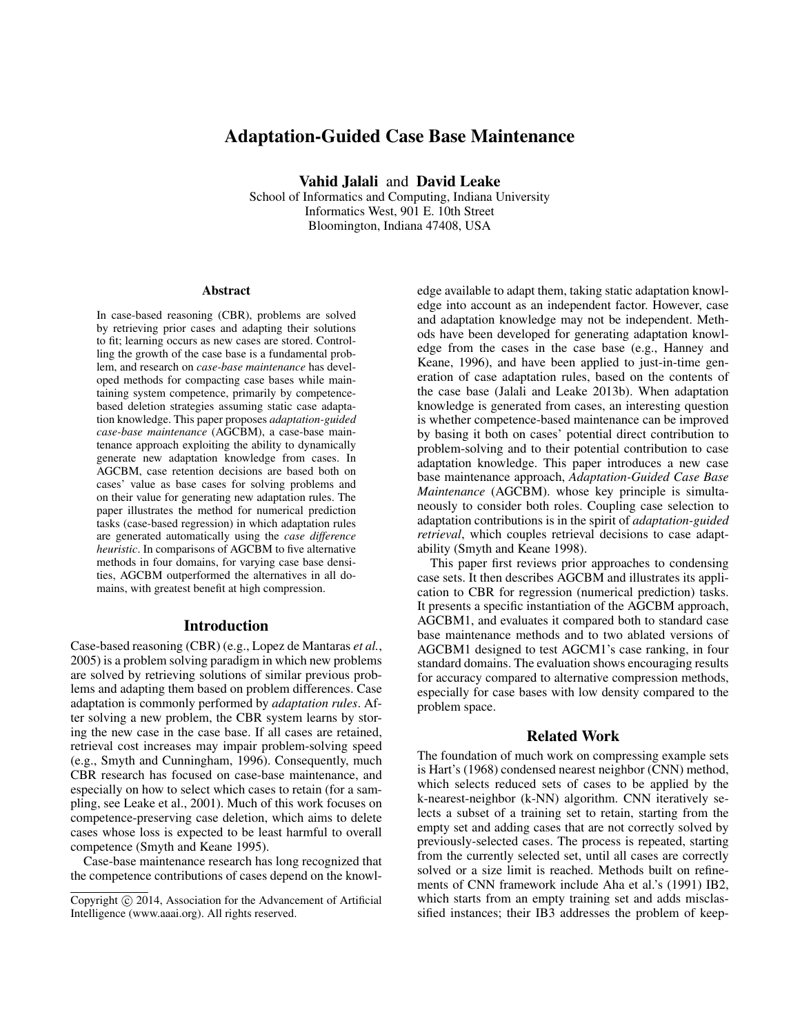# Adaptation-Guided Case Base Maintenance

Vahid Jalali and David Leake

School of Informatics and Computing, Indiana University Informatics West, 901 E. 10th Street Bloomington, Indiana 47408, USA

#### Abstract

In case-based reasoning (CBR), problems are solved by retrieving prior cases and adapting their solutions to fit; learning occurs as new cases are stored. Controlling the growth of the case base is a fundamental problem, and research on *case-base maintenance* has developed methods for compacting case bases while maintaining system competence, primarily by competencebased deletion strategies assuming static case adaptation knowledge. This paper proposes *adaptation-guided case-base maintenance* (AGCBM), a case-base maintenance approach exploiting the ability to dynamically generate new adaptation knowledge from cases. In AGCBM, case retention decisions are based both on cases' value as base cases for solving problems and on their value for generating new adaptation rules. The paper illustrates the method for numerical prediction tasks (case-based regression) in which adaptation rules are generated automatically using the *case difference heuristic*. In comparisons of AGCBM to five alternative methods in four domains, for varying case base densities, AGCBM outperformed the alternatives in all domains, with greatest benefit at high compression.

#### Introduction

Case-based reasoning (CBR) (e.g., Lopez de Mantaras *et al.*, 2005) is a problem solving paradigm in which new problems are solved by retrieving solutions of similar previous problems and adapting them based on problem differences. Case adaptation is commonly performed by *adaptation rules*. After solving a new problem, the CBR system learns by storing the new case in the case base. If all cases are retained, retrieval cost increases may impair problem-solving speed (e.g., Smyth and Cunningham, 1996). Consequently, much CBR research has focused on case-base maintenance, and especially on how to select which cases to retain (for a sampling, see Leake et al., 2001). Much of this work focuses on competence-preserving case deletion, which aims to delete cases whose loss is expected to be least harmful to overall competence (Smyth and Keane 1995).

Case-base maintenance research has long recognized that the competence contributions of cases depend on the knowledge available to adapt them, taking static adaptation knowledge into account as an independent factor. However, case and adaptation knowledge may not be independent. Methods have been developed for generating adaptation knowledge from the cases in the case base (e.g., Hanney and Keane, 1996), and have been applied to just-in-time generation of case adaptation rules, based on the contents of the case base (Jalali and Leake 2013b). When adaptation knowledge is generated from cases, an interesting question is whether competence-based maintenance can be improved by basing it both on cases' potential direct contribution to problem-solving and to their potential contribution to case adaptation knowledge. This paper introduces a new case base maintenance approach, *Adaptation-Guided Case Base Maintenance* (AGCBM). whose key principle is simultaneously to consider both roles. Coupling case selection to adaptation contributions is in the spirit of *adaptation-guided retrieval*, which couples retrieval decisions to case adaptability (Smyth and Keane 1998).

This paper first reviews prior approaches to condensing case sets. It then describes AGCBM and illustrates its application to CBR for regression (numerical prediction) tasks. It presents a specific instantiation of the AGCBM approach, AGCBM1, and evaluates it compared both to standard case base maintenance methods and to two ablated versions of AGCBM1 designed to test AGCM1's case ranking, in four standard domains. The evaluation shows encouraging results for accuracy compared to alternative compression methods, especially for case bases with low density compared to the problem space.

# Related Work

The foundation of much work on compressing example sets is Hart's (1968) condensed nearest neighbor (CNN) method, which selects reduced sets of cases to be applied by the k-nearest-neighbor (k-NN) algorithm. CNN iteratively selects a subset of a training set to retain, starting from the empty set and adding cases that are not correctly solved by previously-selected cases. The process is repeated, starting from the currently selected set, until all cases are correctly solved or a size limit is reached. Methods built on refinements of CNN framework include Aha et al.'s (1991) IB2, which starts from an empty training set and adds misclassified instances; their IB3 addresses the problem of keep-

Copyright (c) 2014, Association for the Advancement of Artificial Intelligence (www.aaai.org). All rights reserved.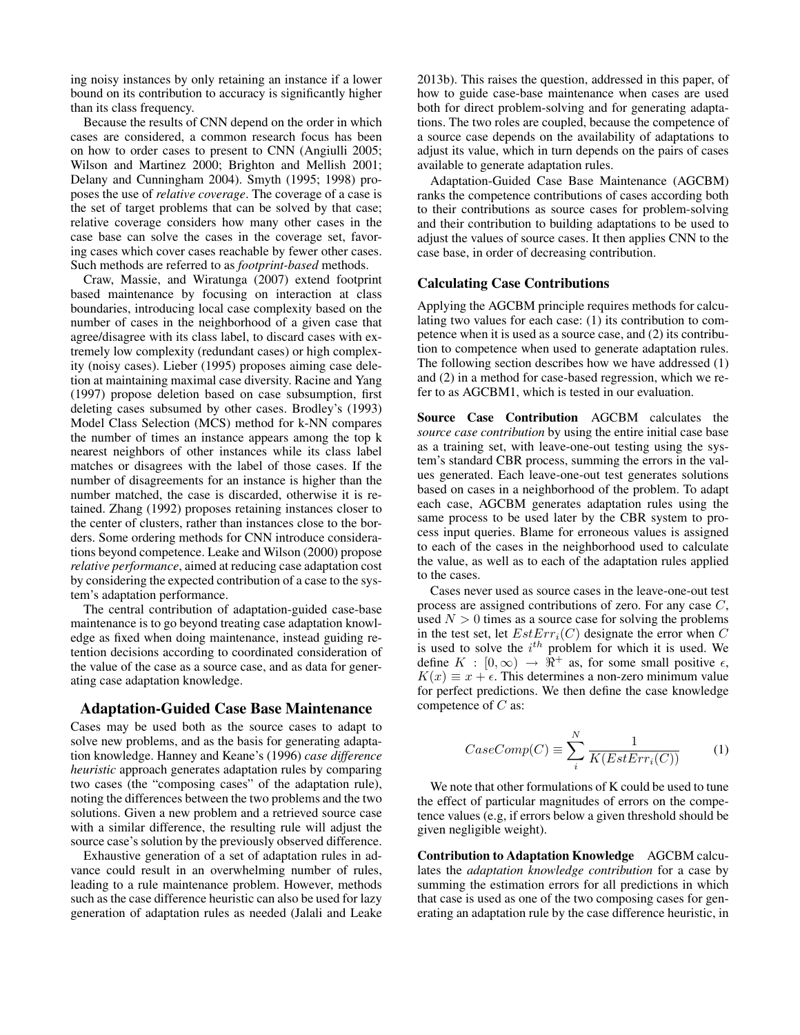ing noisy instances by only retaining an instance if a lower bound on its contribution to accuracy is significantly higher than its class frequency.

Because the results of CNN depend on the order in which cases are considered, a common research focus has been on how to order cases to present to CNN (Angiulli 2005; Wilson and Martinez 2000; Brighton and Mellish 2001; Delany and Cunningham 2004). Smyth (1995; 1998) proposes the use of *relative coverage*. The coverage of a case is the set of target problems that can be solved by that case; relative coverage considers how many other cases in the case base can solve the cases in the coverage set, favoring cases which cover cases reachable by fewer other cases. Such methods are referred to as *footprint-based* methods.

Craw, Massie, and Wiratunga (2007) extend footprint based maintenance by focusing on interaction at class boundaries, introducing local case complexity based on the number of cases in the neighborhood of a given case that agree/disagree with its class label, to discard cases with extremely low complexity (redundant cases) or high complexity (noisy cases). Lieber (1995) proposes aiming case deletion at maintaining maximal case diversity. Racine and Yang (1997) propose deletion based on case subsumption, first deleting cases subsumed by other cases. Brodley's (1993) Model Class Selection (MCS) method for k-NN compares the number of times an instance appears among the top k nearest neighbors of other instances while its class label matches or disagrees with the label of those cases. If the number of disagreements for an instance is higher than the number matched, the case is discarded, otherwise it is retained. Zhang (1992) proposes retaining instances closer to the center of clusters, rather than instances close to the borders. Some ordering methods for CNN introduce considerations beyond competence. Leake and Wilson (2000) propose *relative performance*, aimed at reducing case adaptation cost by considering the expected contribution of a case to the system's adaptation performance.

The central contribution of adaptation-guided case-base maintenance is to go beyond treating case adaptation knowledge as fixed when doing maintenance, instead guiding retention decisions according to coordinated consideration of the value of the case as a source case, and as data for generating case adaptation knowledge.

## Adaptation-Guided Case Base Maintenance

Cases may be used both as the source cases to adapt to solve new problems, and as the basis for generating adaptation knowledge. Hanney and Keane's (1996) *case difference heuristic* approach generates adaptation rules by comparing two cases (the "composing cases" of the adaptation rule), noting the differences between the two problems and the two solutions. Given a new problem and a retrieved source case with a similar difference, the resulting rule will adjust the source case's solution by the previously observed difference.

Exhaustive generation of a set of adaptation rules in advance could result in an overwhelming number of rules, leading to a rule maintenance problem. However, methods such as the case difference heuristic can also be used for lazy generation of adaptation rules as needed (Jalali and Leake 2013b). This raises the question, addressed in this paper, of how to guide case-base maintenance when cases are used both for direct problem-solving and for generating adaptations. The two roles are coupled, because the competence of a source case depends on the availability of adaptations to adjust its value, which in turn depends on the pairs of cases available to generate adaptation rules.

Adaptation-Guided Case Base Maintenance (AGCBM) ranks the competence contributions of cases according both to their contributions as source cases for problem-solving and their contribution to building adaptations to be used to adjust the values of source cases. It then applies CNN to the case base, in order of decreasing contribution.

#### Calculating Case Contributions

Applying the AGCBM principle requires methods for calculating two values for each case: (1) its contribution to competence when it is used as a source case, and (2) its contribution to competence when used to generate adaptation rules. The following section describes how we have addressed (1) and (2) in a method for case-based regression, which we refer to as AGCBM1, which is tested in our evaluation.

Source Case Contribution AGCBM calculates the *source case contribution* by using the entire initial case base as a training set, with leave-one-out testing using the system's standard CBR process, summing the errors in the values generated. Each leave-one-out test generates solutions based on cases in a neighborhood of the problem. To adapt each case, AGCBM generates adaptation rules using the same process to be used later by the CBR system to process input queries. Blame for erroneous values is assigned to each of the cases in the neighborhood used to calculate the value, as well as to each of the adaptation rules applied to the cases.

Cases never used as source cases in the leave-one-out test process are assigned contributions of zero. For any case C, used  $N > 0$  times as a source case for solving the problems in the test set, let  $EstErr_i(C)$  designate the error when C is used to solve the  $i^{th}$  problem for which it is used. We define  $K : [0, \infty) \rightarrow \overline{\mathfrak{R}}^+$  as, for some small positive  $\epsilon$ ,  $K(x) \equiv x + \epsilon$ . This determines a non-zero minimum value for perfect predictions. We then define the case knowledge competence of  $C$  as:

$$
CaseComp(C) \equiv \sum_{i}^{N} \frac{1}{K(EstErr_i(C))}
$$
 (1)

We note that other formulations of K could be used to tune the effect of particular magnitudes of errors on the competence values (e.g, if errors below a given threshold should be given negligible weight).

Contribution to Adaptation Knowledge AGCBM calculates the *adaptation knowledge contribution* for a case by summing the estimation errors for all predictions in which that case is used as one of the two composing cases for generating an adaptation rule by the case difference heuristic, in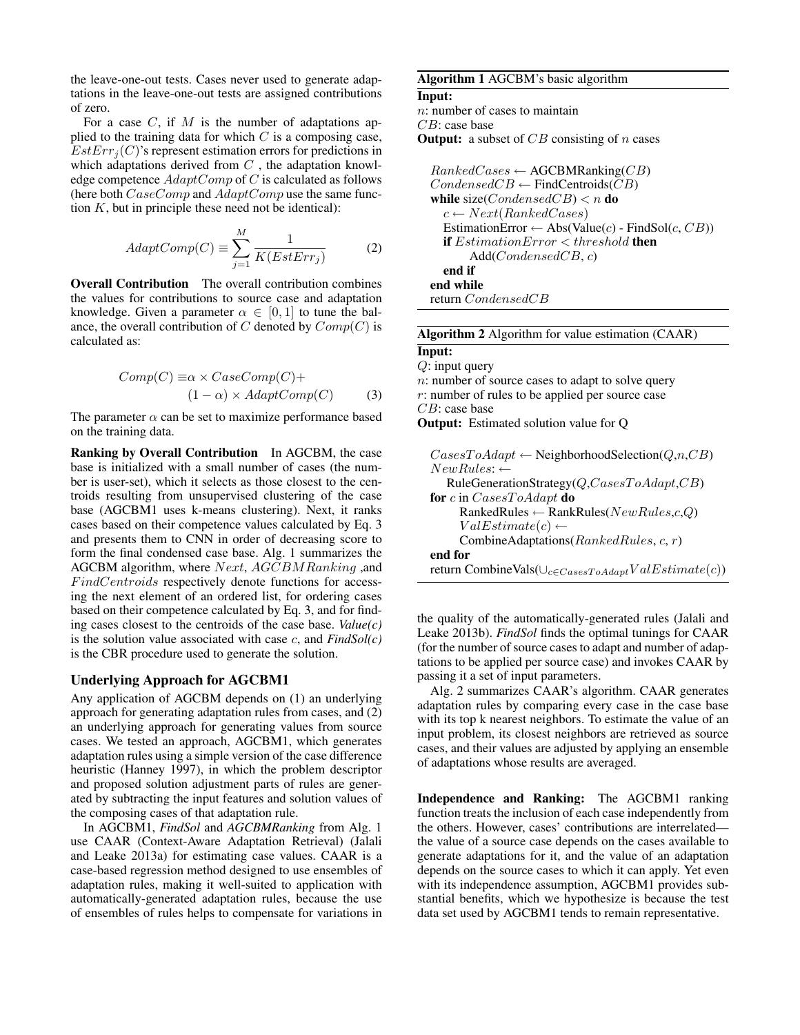the leave-one-out tests. Cases never used to generate adaptations in the leave-one-out tests are assigned contributions of zero.

For a case  $C$ , if  $M$  is the number of adaptations applied to the training data for which  $C$  is a composing case,  $EstErr_i(C)$ 's represent estimation errors for predictions in which adaptations derived from  $C$ , the adaptation knowledge competence  $AdaptComp$  of  $C$  is calculated as follows (here both CaseComp and AdaptComp use the same function  $K$ , but in principle these need not be identical):

$$
AdaptComp(C) \equiv \sum_{j=1}^{M} \frac{1}{K(EstErr_j)}
$$
 (2)

Overall Contribution The overall contribution combines the values for contributions to source case and adaptation knowledge. Given a parameter  $\alpha \in [0,1]$  to tune the balance, the overall contribution of C denoted by  $Comp(C)$  is calculated as:

$$
Comp(C) \equiv \alpha \times CaseComp(C) +
$$
  
(1 - \alpha) \times AdaptComp(C) (3)

The parameter  $\alpha$  can be set to maximize performance based on the training data.

Ranking by Overall Contribution In AGCBM, the case base is initialized with a small number of cases (the number is user-set), which it selects as those closest to the centroids resulting from unsupervised clustering of the case base (AGCBM1 uses k-means clustering). Next, it ranks cases based on their competence values calculated by Eq. 3 and presents them to CNN in order of decreasing score to form the final condensed case base. Alg. 1 summarizes the AGCBM algorithm, where  $Next, AGCBMRanking$ , and  $FindCentroids$  respectively denote functions for accessing the next element of an ordered list, for ordering cases based on their competence calculated by Eq. 3, and for finding cases closest to the centroids of the case base. *Value(c)* is the solution value associated with case c, and *FindSol(c)* is the CBR procedure used to generate the solution.

#### Underlying Approach for AGCBM1

Any application of AGCBM depends on (1) an underlying approach for generating adaptation rules from cases, and (2) an underlying approach for generating values from source cases. We tested an approach, AGCBM1, which generates adaptation rules using a simple version of the case difference heuristic (Hanney 1997), in which the problem descriptor and proposed solution adjustment parts of rules are generated by subtracting the input features and solution values of the composing cases of that adaptation rule.

In AGCBM1, *FindSol* and *AGCBMRanking* from Alg. 1 use CAAR (Context-Aware Adaptation Retrieval) (Jalali and Leake 2013a) for estimating case values. CAAR is a case-based regression method designed to use ensembles of adaptation rules, making it well-suited to application with automatically-generated adaptation rules, because the use of ensembles of rules helps to compensate for variations in

### Algorithm 1 AGCBM's basic algorithm

#### Input:

 $n:$  number of cases to maintain CB: case base **Output:** a subset of  $CB$  consisting of n cases

 $Ranked Cases \leftarrow \text{AGCBMRanking}(CB)$  $CondensedCB \leftarrow FindCentroids(CB)$ while size(*CondensedCB*)  $\lt n$  do  $c \leftarrow Next(Ranked Cases)$ EstimationError ← Abs(Value(c) - FindSol(c,  $CB$ )) if  $EstimationError < threshold$  then Add(CondensedCB, c) end if end while return CondensedCB

| <b>Algorithm 2</b> Algorithm for value estimation (CAAR)            |  |  |  |  |  |  |
|---------------------------------------------------------------------|--|--|--|--|--|--|
| Input:                                                              |  |  |  |  |  |  |
| $Q$ : input query                                                   |  |  |  |  |  |  |
| $n:$ number of source cases to adapt to solve query                 |  |  |  |  |  |  |
| $r$ : number of rules to be applied per source case                 |  |  |  |  |  |  |
| $CB$ : case base                                                    |  |  |  |  |  |  |
| <b>Output:</b> Estimated solution value for O                       |  |  |  |  |  |  |
|                                                                     |  |  |  |  |  |  |
| $\text{CasesToAdapt} \leftarrow$ Neighborhood Selection( $Q,n,CB$ ) |  |  |  |  |  |  |
| $NewRules: \leftarrow$                                              |  |  |  |  |  |  |
| $Rule GenerationStrategy(Q, CasesToAdapt, CB)$                      |  |  |  |  |  |  |
| <b>for</b> c in $\text{CasesToAdapt}$ <b>do</b>                     |  |  |  |  |  |  |
| RankedRules $\leftarrow$ RankRules( $NewRules, c, Q$ )              |  |  |  |  |  |  |
| $ValEstimate(c) \leftarrow$                                         |  |  |  |  |  |  |
| CombineAdaptations( $RankedRules, c, r$ )                           |  |  |  |  |  |  |
| end for                                                             |  |  |  |  |  |  |
| return CombineVals( $\cup_{c \in CasesToAdapt}ValEstimate(c)$ )     |  |  |  |  |  |  |
|                                                                     |  |  |  |  |  |  |

the quality of the automatically-generated rules (Jalali and Leake 2013b). *FindSol* finds the optimal tunings for CAAR (for the number of source cases to adapt and number of adaptations to be applied per source case) and invokes CAAR by passing it a set of input parameters.

Alg. 2 summarizes CAAR's algorithm. CAAR generates adaptation rules by comparing every case in the case base with its top k nearest neighbors. To estimate the value of an input problem, its closest neighbors are retrieved as source cases, and their values are adjusted by applying an ensemble of adaptations whose results are averaged.

Independence and Ranking: The AGCBM1 ranking function treats the inclusion of each case independently from the others. However, cases' contributions are interrelated the value of a source case depends on the cases available to generate adaptations for it, and the value of an adaptation depends on the source cases to which it can apply. Yet even with its independence assumption, AGCBM1 provides substantial benefits, which we hypothesize is because the test data set used by AGCBM1 tends to remain representative.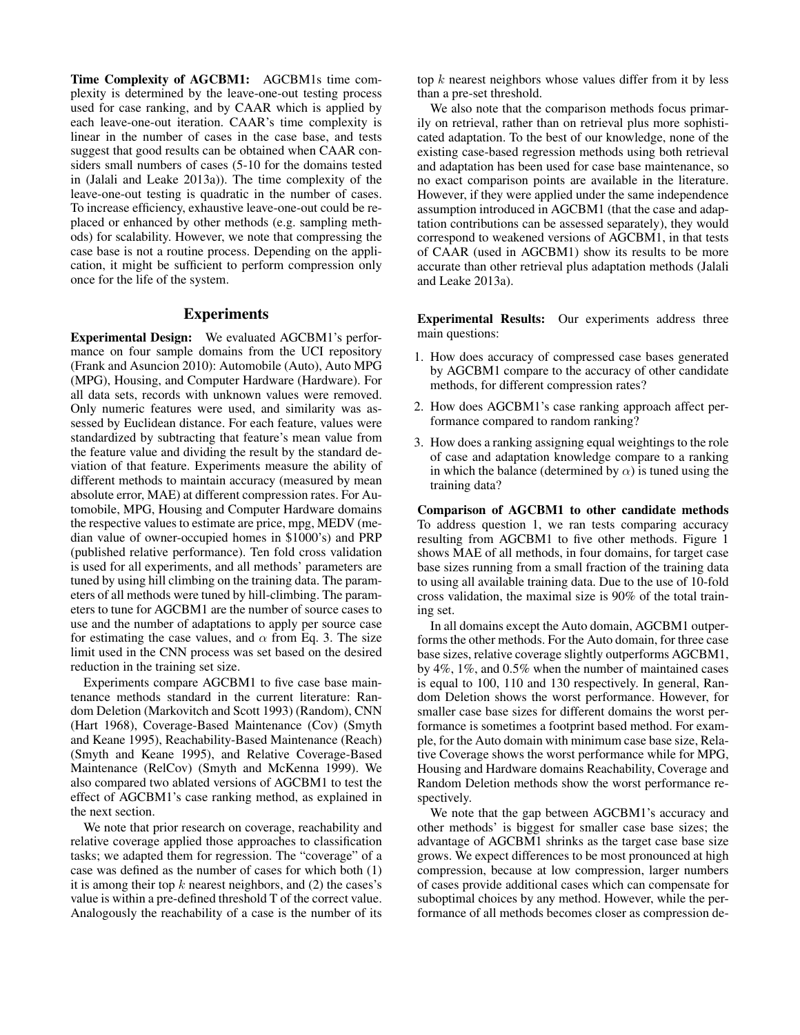Time Complexity of AGCBM1: AGCBM1s time complexity is determined by the leave-one-out testing process used for case ranking, and by CAAR which is applied by each leave-one-out iteration. CAAR's time complexity is linear in the number of cases in the case base, and tests suggest that good results can be obtained when CAAR considers small numbers of cases (5-10 for the domains tested in (Jalali and Leake 2013a)). The time complexity of the leave-one-out testing is quadratic in the number of cases. To increase efficiency, exhaustive leave-one-out could be replaced or enhanced by other methods (e.g. sampling methods) for scalability. However, we note that compressing the case base is not a routine process. Depending on the application, it might be sufficient to perform compression only once for the life of the system.

### **Experiments**

Experimental Design: We evaluated AGCBM1's performance on four sample domains from the UCI repository (Frank and Asuncion 2010): Automobile (Auto), Auto MPG (MPG), Housing, and Computer Hardware (Hardware). For all data sets, records with unknown values were removed. Only numeric features were used, and similarity was assessed by Euclidean distance. For each feature, values were standardized by subtracting that feature's mean value from the feature value and dividing the result by the standard deviation of that feature. Experiments measure the ability of different methods to maintain accuracy (measured by mean absolute error, MAE) at different compression rates. For Automobile, MPG, Housing and Computer Hardware domains the respective values to estimate are price, mpg, MEDV (median value of owner-occupied homes in \$1000's) and PRP (published relative performance). Ten fold cross validation is used for all experiments, and all methods' parameters are tuned by using hill climbing on the training data. The parameters of all methods were tuned by hill-climbing. The parameters to tune for AGCBM1 are the number of source cases to use and the number of adaptations to apply per source case for estimating the case values, and  $\alpha$  from Eq. 3. The size limit used in the CNN process was set based on the desired reduction in the training set size.

Experiments compare AGCBM1 to five case base maintenance methods standard in the current literature: Random Deletion (Markovitch and Scott 1993) (Random), CNN (Hart 1968), Coverage-Based Maintenance (Cov) (Smyth and Keane 1995), Reachability-Based Maintenance (Reach) (Smyth and Keane 1995), and Relative Coverage-Based Maintenance (RelCov) (Smyth and McKenna 1999). We also compared two ablated versions of AGCBM1 to test the effect of AGCBM1's case ranking method, as explained in the next section.

We note that prior research on coverage, reachability and relative coverage applied those approaches to classification tasks; we adapted them for regression. The "coverage" of a case was defined as the number of cases for which both (1) it is among their top  $k$  nearest neighbors, and (2) the cases's value is within a pre-defined threshold T of the correct value. Analogously the reachability of a case is the number of its

top  $k$  nearest neighbors whose values differ from it by less than a pre-set threshold.

We also note that the comparison methods focus primarily on retrieval, rather than on retrieval plus more sophisticated adaptation. To the best of our knowledge, none of the existing case-based regression methods using both retrieval and adaptation has been used for case base maintenance, so no exact comparison points are available in the literature. However, if they were applied under the same independence assumption introduced in AGCBM1 (that the case and adaptation contributions can be assessed separately), they would correspond to weakened versions of AGCBM1, in that tests of CAAR (used in AGCBM1) show its results to be more accurate than other retrieval plus adaptation methods (Jalali and Leake 2013a).

Experimental Results: Our experiments address three main questions:

- 1. How does accuracy of compressed case bases generated by AGCBM1 compare to the accuracy of other candidate methods, for different compression rates?
- 2. How does AGCBM1's case ranking approach affect performance compared to random ranking?
- 3. How does a ranking assigning equal weightings to the role of case and adaptation knowledge compare to a ranking in which the balance (determined by  $\alpha$ ) is tuned using the training data?

Comparison of AGCBM1 to other candidate methods To address question 1, we ran tests comparing accuracy resulting from AGCBM1 to five other methods. Figure 1 shows MAE of all methods, in four domains, for target case base sizes running from a small fraction of the training data to using all available training data. Due to the use of 10-fold cross validation, the maximal size is 90% of the total training set.

In all domains except the Auto domain, AGCBM1 outperforms the other methods. For the Auto domain, for three case base sizes, relative coverage slightly outperforms AGCBM1, by 4%, 1%, and 0.5% when the number of maintained cases is equal to 100, 110 and 130 respectively. In general, Random Deletion shows the worst performance. However, for smaller case base sizes for different domains the worst performance is sometimes a footprint based method. For example, for the Auto domain with minimum case base size, Relative Coverage shows the worst performance while for MPG, Housing and Hardware domains Reachability, Coverage and Random Deletion methods show the worst performance respectively.

We note that the gap between AGCBM1's accuracy and other methods' is biggest for smaller case base sizes; the advantage of AGCBM1 shrinks as the target case base size grows. We expect differences to be most pronounced at high compression, because at low compression, larger numbers of cases provide additional cases which can compensate for suboptimal choices by any method. However, while the performance of all methods becomes closer as compression de-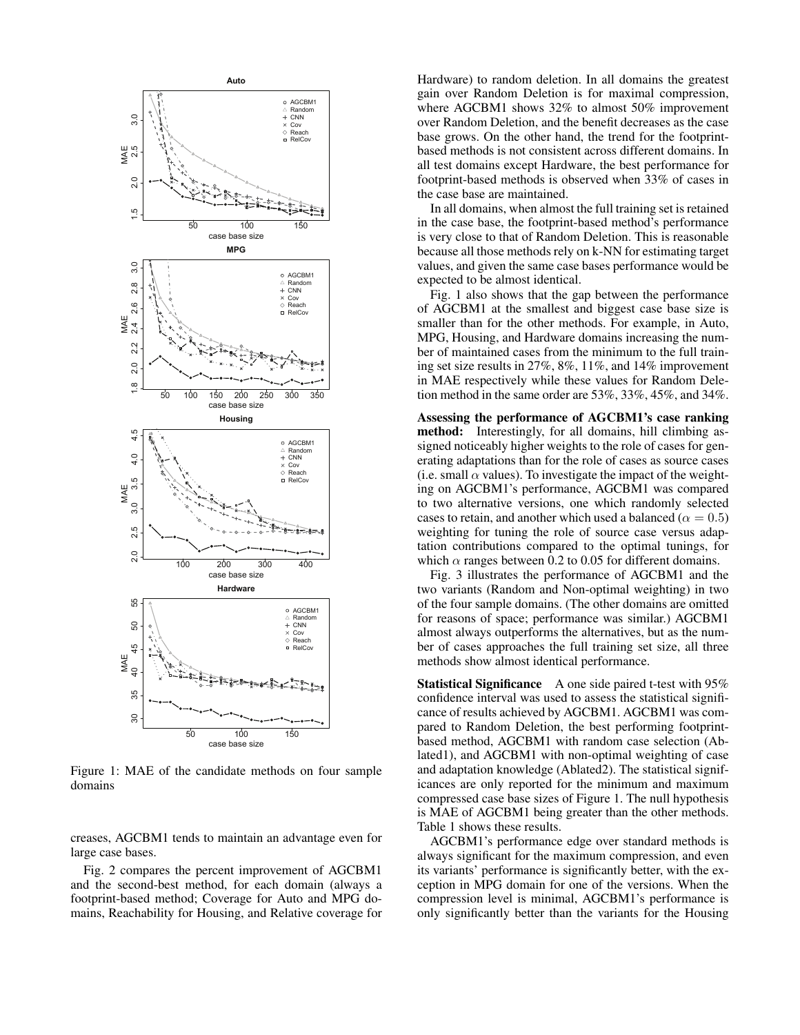

Figure 1: MAE of the candidate methods on four sample domains

creases, AGCBM1 tends to maintain an advantage even for large case bases.

Fig. 2 compares the percent improvement of AGCBM1 and the second-best method, for each domain (always a footprint-based method; Coverage for Auto and MPG domains, Reachability for Housing, and Relative coverage for

Hardware) to random deletion. In all domains the greatest gain over Random Deletion is for maximal compression, where AGCBM1 shows 32% to almost 50% improvement over Random Deletion, and the benefit decreases as the case base grows. On the other hand, the trend for the footprintbased methods is not consistent across different domains. In all test domains except Hardware, the best performance for footprint-based methods is observed when 33% of cases in the case base are maintained.

In all domains, when almost the full training set is retained in the case base, the footprint-based method's performance is very close to that of Random Deletion. This is reasonable because all those methods rely on k-NN for estimating target values, and given the same case bases performance would be expected to be almost identical.

Fig. 1 also shows that the gap between the performance of AGCBM1 at the smallest and biggest case base size is smaller than for the other methods. For example, in Auto, MPG, Housing, and Hardware domains increasing the number of maintained cases from the minimum to the full training set size results in 27%, 8%, 11%, and 14% improvement in MAE respectively while these values for Random Deletion method in the same order are 53%, 33%, 45%, and 34%.

Assessing the performance of AGCBM1's case ranking method: Interestingly, for all domains, hill climbing assigned noticeably higher weights to the role of cases for generating adaptations than for the role of cases as source cases (i.e. small  $\alpha$  values). To investigate the impact of the weighting on AGCBM1's performance, AGCBM1 was compared to two alternative versions, one which randomly selected cases to retain, and another which used a balanced ( $\alpha = 0.5$ ) weighting for tuning the role of source case versus adaptation contributions compared to the optimal tunings, for which  $\alpha$  ranges between 0.2 to 0.05 for different domains.

Fig. 3 illustrates the performance of AGCBM1 and the two variants (Random and Non-optimal weighting) in two of the four sample domains. (The other domains are omitted for reasons of space; performance was similar.) AGCBM1 almost always outperforms the alternatives, but as the number of cases approaches the full training set size, all three methods show almost identical performance.

Statistical Significance A one side paired t-test with 95% confidence interval was used to assess the statistical significance of results achieved by AGCBM1. AGCBM1 was compared to Random Deletion, the best performing footprintbased method, AGCBM1 with random case selection (Ablated1), and AGCBM1 with non-optimal weighting of case and adaptation knowledge (Ablated2). The statistical significances are only reported for the minimum and maximum compressed case base sizes of Figure 1. The null hypothesis is MAE of AGCBM1 being greater than the other methods. Table 1 shows these results.

AGCBM1's performance edge over standard methods is always significant for the maximum compression, and even its variants' performance is significantly better, with the exception in MPG domain for one of the versions. When the compression level is minimal, AGCBM1's performance is only significantly better than the variants for the Housing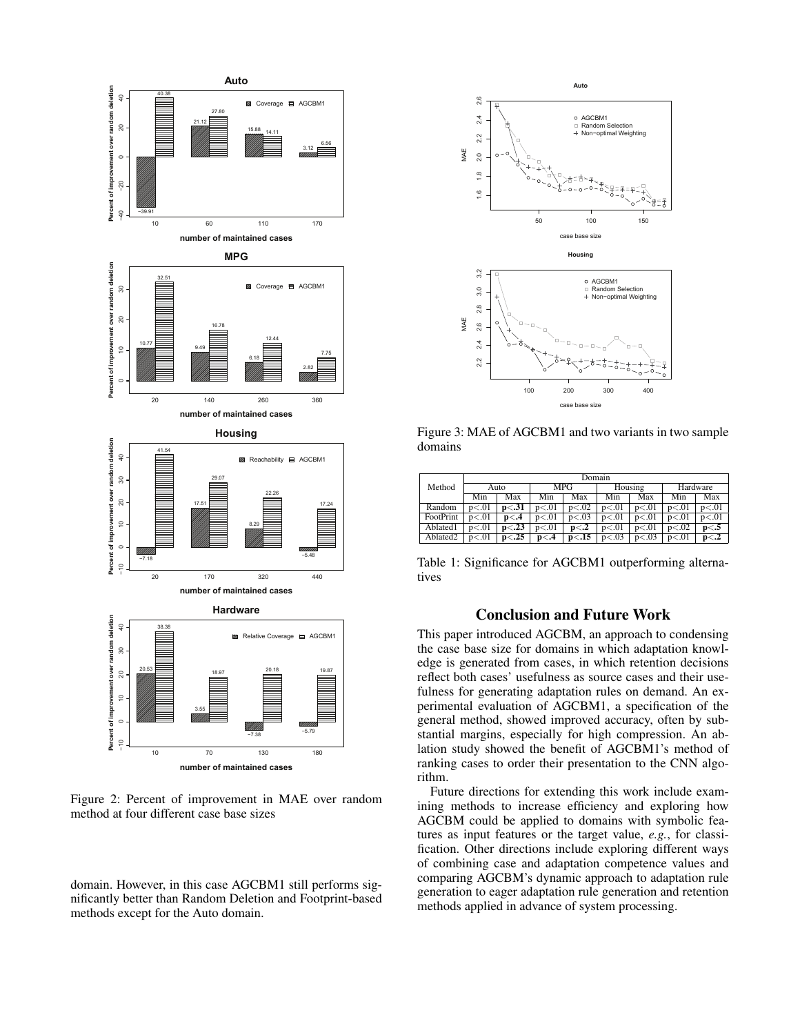

Figure 2: Percent of improvement in MAE over random method at four different case base sizes

domain. However, in this case AGCBM1 still performs significantly better than Random Deletion and Footprint-based methods except for the Auto domain.



Figure 3: MAE of AGCBM1 and two variants in two sample domains

|                      | Domain |         |       |         |         |         |          |       |
|----------------------|--------|---------|-------|---------|---------|---------|----------|-------|
| Method               | Auto   |         | MPG   |         | Housing |         | Hardware |       |
|                      | Min    | Max     | Min   | Max     | Min     | Max     | Min      | Max   |
| Random               | p<.01  | p < .31 | p<.01 | p < .02 | p<.01   | p<.01   | p<.01    | p<.01 |
| FootPrint            | p<.01  | p<.4    | p<.01 | p < .03 | p<.01   | p<.01   | p<.01    | p<.01 |
| Ablated1             | p<.01  | p < .23 | p<.01 | p<.2    | p<.01   | p<.01   | p<.02    | p<.5  |
| Ablated <sub>2</sub> | p<.01  | p < .25 | p<.4  | p<.15   | p < .03 | p < .03 | p<.01    | p<12  |

Table 1: Significance for AGCBM1 outperforming alternatives

## Conclusion and Future Work

This paper introduced AGCBM, an approach to condensing the case base size for domains in which adaptation knowledge is generated from cases, in which retention decisions reflect both cases' usefulness as source cases and their usefulness for generating adaptation rules on demand. An experimental evaluation of AGCBM1, a specification of the general method, showed improved accuracy, often by substantial margins, especially for high compression. An ablation study showed the benefit of AGCBM1's method of ranking cases to order their presentation to the CNN algorithm.

Future directions for extending this work include examining methods to increase efficiency and exploring how AGCBM could be applied to domains with symbolic features as input features or the target value, *e.g.*, for classification. Other directions include exploring different ways of combining case and adaptation competence values and comparing AGCBM's dynamic approach to adaptation rule generation to eager adaptation rule generation and retention methods applied in advance of system processing.